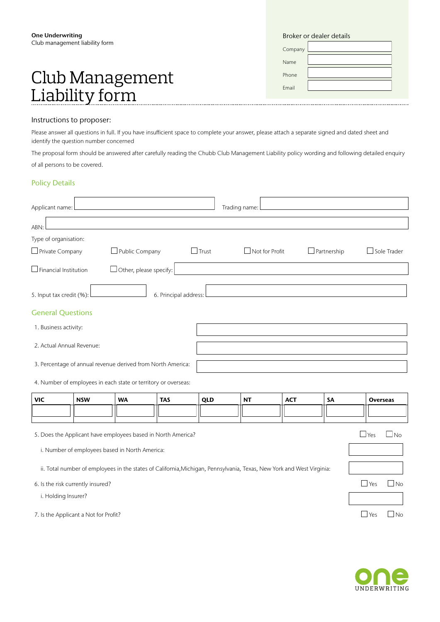# Club Management Liability form

|  | Broker or dealer details |
|--|--------------------------|
|  |                          |

| Company |  |
|---------|--|
| Name    |  |
| Phone   |  |
| Email   |  |

#### Instructions to proposer:

Please answer all questions in full. If you have insufficient space to complete your answer, please attach a separate signed and dated sheet and identify the question number concerned

The proposal form should be answered after carefully reading the Chubb Club Management Liability policy wording and following detailed enquiry of all persons to be covered.

#### Policy Details

| Applicant name: l                               |                                                                |                               |                       |              | Trading name:                                                                                                         |            |                    |            |                    |
|-------------------------------------------------|----------------------------------------------------------------|-------------------------------|-----------------------|--------------|-----------------------------------------------------------------------------------------------------------------------|------------|--------------------|------------|--------------------|
| ABN:                                            |                                                                |                               |                       |              |                                                                                                                       |            |                    |            |                    |
| Type of organisation:                           |                                                                |                               |                       |              |                                                                                                                       |            |                    |            |                    |
| $\Box$ Private Company                          |                                                                | Public Company                |                       | $\Box$ Trust | $\Box$ Not for Profit                                                                                                 |            | $\Box$ Partnership |            | $\Box$ Sole Trader |
| $\Box$ Financial Institution                    |                                                                | $\Box$ Other, please specify: |                       |              |                                                                                                                       |            |                    |            |                    |
| 5. Input tax credit (%):                        |                                                                |                               | 6. Principal address: |              |                                                                                                                       |            |                    |            |                    |
| <b>General Questions</b>                        |                                                                |                               |                       |              |                                                                                                                       |            |                    |            |                    |
| 1. Business activity:                           |                                                                |                               |                       |              |                                                                                                                       |            |                    |            |                    |
|                                                 | 2. Actual Annual Revenue:                                      |                               |                       |              |                                                                                                                       |            |                    |            |                    |
|                                                 | 3. Percentage of annual revenue derived from North America:    |                               |                       |              |                                                                                                                       |            |                    |            |                    |
|                                                 | 4. Number of employees in each state or territory or overseas: |                               |                       |              |                                                                                                                       |            |                    |            |                    |
| <b>VIC</b>                                      | <b>NSW</b>                                                     | <b>WA</b>                     | <b>TAS</b>            | QLD          | <b>NT</b>                                                                                                             | <b>ACT</b> | <b>SA</b>          |            | <b>Overseas</b>    |
|                                                 |                                                                |                               |                       |              |                                                                                                                       |            |                    |            |                    |
|                                                 | 5. Does the Applicant have employees based in North America?   |                               |                       |              |                                                                                                                       |            |                    | $\Box$ Yes | $\Box$ No          |
|                                                 | i. Number of employees based in North America:                 |                               |                       |              |                                                                                                                       |            |                    |            |                    |
|                                                 |                                                                |                               |                       |              | ii. Total number of employees in the states of California, Michigan, Pennsylvania, Texas, New York and West Virginia: |            |                    |            |                    |
| $\Box$ Yes<br>6. Is the risk currently insured? |                                                                |                               |                       |              | $\Box$ No                                                                                                             |            |                    |            |                    |
|                                                 | i. Holding Insurer?                                            |                               |                       |              |                                                                                                                       |            |                    |            |                    |
|                                                 | 7. Is the Applicant a Not for Profit?                          |                               |                       |              |                                                                                                                       |            |                    | $\Box$ Yes | J No               |

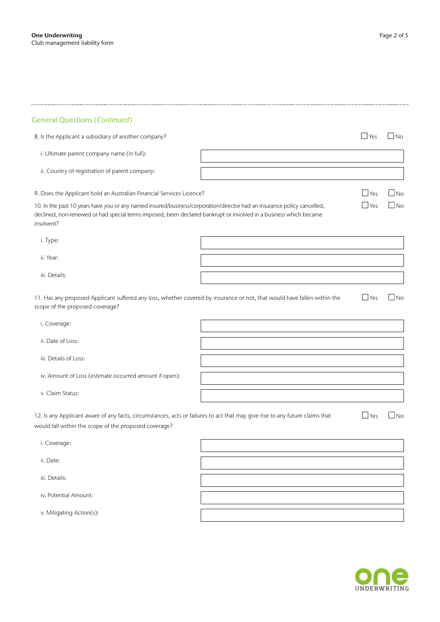| <b>General Questions (Continued)</b>                                                                                                                                                                                                                       |              |           |
|------------------------------------------------------------------------------------------------------------------------------------------------------------------------------------------------------------------------------------------------------------|--------------|-----------|
| 8. Is the Applicant a subsidiary of another company?                                                                                                                                                                                                       | $\Box$ Yes   | $\Box$ No |
| i. Ultimate parent company name (in full):                                                                                                                                                                                                                 |              |           |
| ii. Country of registration of parent company:                                                                                                                                                                                                             |              |           |
| 9. Does the Applicant hold an Australian Financial Services Licence?                                                                                                                                                                                       | $\Box$ Yes   | $\Box$ No |
| 10. In the past 10 years have you or any named insured/business/corporation/director had an insurance policy cancelled,<br>declined, non-renewed or had special terms imposed, been declared bankrupt or involved in a business which became<br>insolvent? | $\Box$ Yes   | $\Box$ No |
| i. Type:                                                                                                                                                                                                                                                   |              |           |
| ii. Year:                                                                                                                                                                                                                                                  |              |           |
| iii. Details:                                                                                                                                                                                                                                              |              |           |
| 11. Has any proposed Applicant suffered any loss, whether covered by insurance or not, that would have fallen within the<br>scope of the proposed coverage?                                                                                                | $\Box$ Yes   | $\Box$ No |
| i. Coverage:                                                                                                                                                                                                                                               |              |           |
| ii. Date of Loss:                                                                                                                                                                                                                                          |              |           |
| iii. Details of Loss:                                                                                                                                                                                                                                      |              |           |
| iv. Amount of Loss (estimate occurred amount if open):                                                                                                                                                                                                     |              |           |
| v. Claim Status:                                                                                                                                                                                                                                           |              |           |
| 12. Is any Applicant aware of any facts, circumstances, acts or failures to act that may give rise to any future claims that<br>would fall within the scope of the proposed coverage?                                                                      | $\sqcup$ Yes | $\Box$ No |
| i. Coverage:                                                                                                                                                                                                                                               |              |           |
| ii. Date:                                                                                                                                                                                                                                                  |              |           |
| iii. Details:                                                                                                                                                                                                                                              |              |           |
| iv. Potential Amount:                                                                                                                                                                                                                                      |              |           |
| v. Mitigating Action(s):                                                                                                                                                                                                                                   |              |           |
|                                                                                                                                                                                                                                                            |              |           |



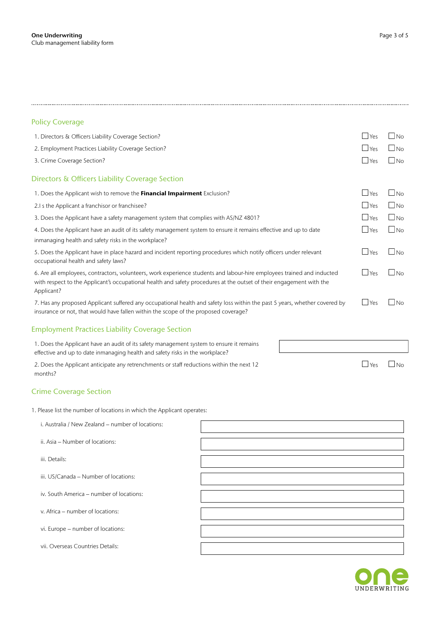## 

#### Policy Coverage

| 1. Directors & Officers Liability Coverage Section?                                                                                                                                                                                                          | $\Box$ Yes | $\Box$ No    |
|--------------------------------------------------------------------------------------------------------------------------------------------------------------------------------------------------------------------------------------------------------------|------------|--------------|
| 2. Employment Practices Liability Coverage Section?                                                                                                                                                                                                          | $\Box$ Yes | $\Box$ No    |
| 3. Crime Coverage Section?                                                                                                                                                                                                                                   | $\Box$ Yes | $\Box$ No    |
| Directors & Officers Liability Coverage Section                                                                                                                                                                                                              |            |              |
| 1. Does the Applicant wish to remove the Financial Impairment Exclusion?                                                                                                                                                                                     | $\Box$ Yes | l INo        |
| 2.I s the Applicant a franchisor or franchisee?                                                                                                                                                                                                              | $\Box$ Yes | l Ino        |
| 3. Does the Applicant have a safety management system that complies with AS/NZ 4801?                                                                                                                                                                         | $\Box$ Yes | $\Box$ No    |
| 4. Does the Applicant have an audit of its safety management system to ensure it remains effective and up to date                                                                                                                                            | $\Box$ Yes | INo          |
| inmanaging health and safety risks in the workplace?                                                                                                                                                                                                         |            |              |
| 5. Does the Applicant have in place hazard and incident reporting procedures which notify officers under relevant<br>occupational health and safety laws?                                                                                                    | $\Box$ Yes | $\Box$ No    |
| 6. Are all employees, contractors, volunteers, work experience students and labour-hire employees trained and inducted<br>with respect to the Applicant's occupational health and safety procedures at the outset of their engagement with the<br>Applicant? | $\Box$ Yes | $\Box$ No    |
| 7. Has any proposed Applicant suffered any occupational health and safety loss within the past 5 years, whether covered by<br>insurance or not, that would have fallen within the scope of the proposed coverage?                                            | $\Box$ Yes | $\square$ No |
| <b>Employment Practices Liability Coverage Section</b>                                                                                                                                                                                                       |            |              |

1. Does the Applicant have an audit of its safety management system to ensure it remains effective and up to date inmanaging health and safety risks in the workplace?

2. Does the Applicant anticipate any retrenchments or staff reductions within the next 12 months?

#### Crime Coverage Section

1. Please list the number of locations in which the Applicant operates:

| i. Australia / New Zealand - number of locations: |  |
|---------------------------------------------------|--|
| ii. Asia – Number of locations:                   |  |
| iii. Details:                                     |  |
| iii. US/Canada - Number of locations:             |  |
| iv. South America – number of locations:          |  |
| v. Africa – number of locations:                  |  |
| vi. Europe - number of locations:                 |  |
| vii. Overseas Countries Details:                  |  |



 $\Box$ Yes  $\Box$ No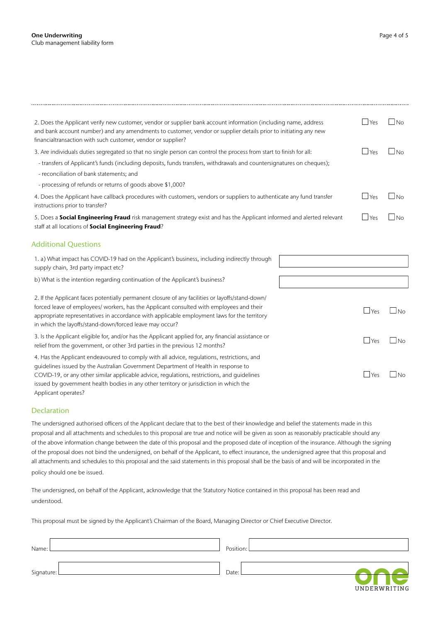| 2. Does the Applicant verify new customer, vendor or supplier bank account information (including name, address<br>and bank account number) and any amendments to customer, vendor or supplier details prior to initiating any new<br>financialtransaction with such customer, vendor or supplier?                                                                                               | $\Box$ Yes         | - I No            |
|--------------------------------------------------------------------------------------------------------------------------------------------------------------------------------------------------------------------------------------------------------------------------------------------------------------------------------------------------------------------------------------------------|--------------------|-------------------|
| 3. Are individuals duties segregated so that no single person can control the process from start to finish for all:                                                                                                                                                                                                                                                                              | $\Box$ Yes         | N <sub>O</sub>    |
| - transfers of Applicant's funds (including deposits, funds transfers, withdrawals and countersignatures on cheques);                                                                                                                                                                                                                                                                            |                    |                   |
| - reconciliation of bank statements; and                                                                                                                                                                                                                                                                                                                                                         |                    |                   |
| - processing of refunds or returns of goods above \$1,000?                                                                                                                                                                                                                                                                                                                                       |                    |                   |
| 4. Does the Applicant have callback procedures with customers, vendors or suppliers to authenticate any fund transfer<br>instructions prior to transfer?                                                                                                                                                                                                                                         | $\Box$ Yes         | $\Box$ No         |
| 5. Does a <b>Social Engineering Fraud</b> risk management strategy exist and has the Applicant informed and alerted relevant<br>staff at all locations of Social Engineering Fraud?                                                                                                                                                                                                              | $\Box$ Yes         | $\blacksquare$ No |
| <b>Additional Questions</b>                                                                                                                                                                                                                                                                                                                                                                      |                    |                   |
| 1. a) What impact has COVID-19 had on the Applicant's business, including indirectly through<br>supply chain, 3rd party impact etc?                                                                                                                                                                                                                                                              |                    |                   |
| b) What is the intention regarding continuation of the Applicant's business?                                                                                                                                                                                                                                                                                                                     |                    |                   |
| 2. If the Applicant faces potentially permanent closure of any facilities or layoffs/stand-down/<br>forced leave of employees/ workers, has the Applicant consulted with employees and their<br>appropriate representatives in accordance with applicable employment laws for the territory<br>in which the layoffs/stand-down/forced leave may occur?                                           | $\blacksquare$ Yes | l Ino             |
| 3. Is the Applicant eligible for, and/or has the Applicant applied for, any financial assistance or<br>relief from the government, or other 3rd parties in the previous 12 months?                                                                                                                                                                                                               | $\Box$ Yes         | $\Box$ No         |
| 4. Has the Applicant endeavoured to comply with all advice, regulations, restrictions, and<br>quidelines issued by the Australian Government Department of Health in response to<br>COVID-19, or any other similar applicable advice, regulations, restrictions, and quidelines<br>issued by government health bodies in any other territory or jurisdiction in which the<br>Applicant operates? | $\Box$ Yes         | JNo               |

#### Declaration

The undersigned authorised officers of the Applicant declare that to the best of their knowledge and belief the statements made in this proposal and all attachments and schedules to this proposal are true and notice will be given as soon as reasonably practicable should any of the above information change between the date of this proposal and the proposed date of inception of the insurance. Although the signing of the proposal does not bind the undersigned, on behalf of the Applicant, to effect insurance, the undersigned agree that this proposal and all attachments and schedules to this proposal and the said statements in this proposal shall be the basis of and will be incorporated in the policy should one be issued.

The undersigned, on behalf of the Applicant, acknowledge that the Statutory Notice contained in this proposal has been read and understood.

This proposal must be signed by the Applicant's Chairman of the Board, Managing Director or Chief Executive Director.

| Name:        | Position:            |
|--------------|----------------------|
| Signature: L | Date:                |
|              | <b>IINDERWRITING</b> |